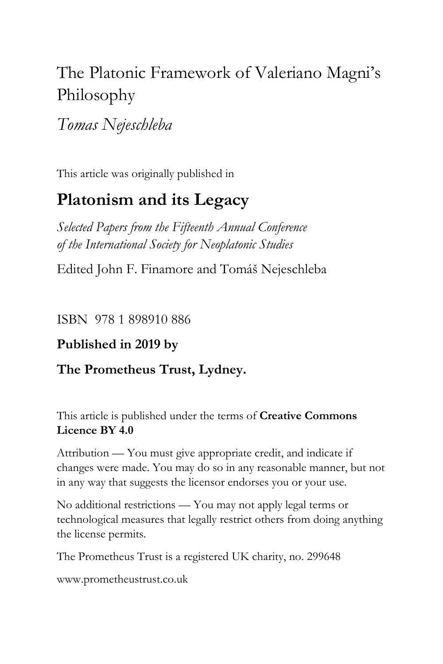# The Platonic Framework of Valeriano Magni's Philosophy

*Tomas Nejeschleba*

This article was originally published in

# **Platonism and its Legacy**

*Selected Papers from the Fifteenth Annual Conference of the International Society for Neoplatonic Studies*

Edited John F. Finamore and Tomáš Nejeschleba

ISBN 978 1 898910 886

## **Published in 2019 by**

### **The Prometheus Trust, Lydney.**

This article is published under the terms of **Creative Commons Licence BY 4.0**

Attribution — You must give appropriate credit, and indicate if changes were made. You may do so in any reasonable manner, but not in any way that suggests the licensor endorses you or your use.

No additional restrictions — You may not apply legal terms or technological measures that legally restrict others from doing anything the license permits.

The Prometheus Trust is a registered UK charity, no. 299648

[www.prometheustrust.co.uk](http://www.prometheustrust.co.uk/)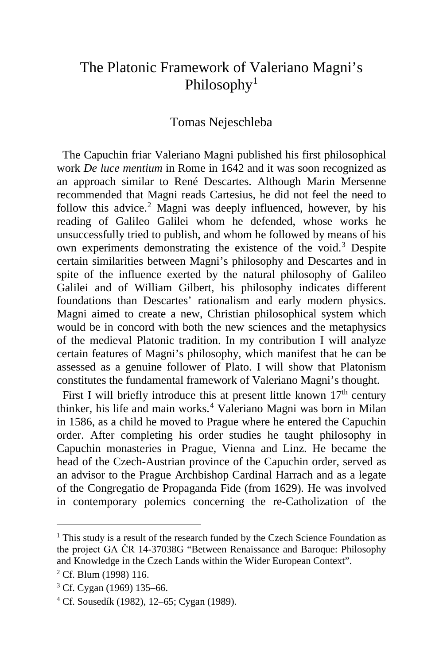# The Platonic Framework of Valeriano Magni's Philosophy<sup>[1](#page-1-0)</sup>

### Tomas Nejeschleba

 The Capuchin friar Valeriano Magni published his first philosophical work *De luce mentium* in Rome in 1642 and it was soon recognized as an approach similar to René Descartes. Although Marin Mersenne recommended that Magni reads Cartesius, he did not feel the need to follow this advice.<sup>[2](#page-1-1)</sup> Magni was deeply influenced, however, by his reading of Galileo Galilei whom he defended, whose works he unsuccessfully tried to publish, and whom he followed by means of his own experiments demonstrating the existence of the void.[3](#page-1-2) Despite certain similarities between Magni's philosophy and Descartes and in spite of the influence exerted by the natural philosophy of Galileo Galilei and of William Gilbert, his philosophy indicates different foundations than Descartes' rationalism and early modern physics. Magni aimed to create a new, Christian philosophical system which would be in concord with both the new sciences and the metaphysics of the medieval Platonic tradition. In my contribution I will analyze certain features of Magni's philosophy, which manifest that he can be assessed as a genuine follower of Plato. I will show that Platonism constitutes the fundamental framework of Valeriano Magni's thought.

First I will briefly introduce this at present little known  $17<sup>th</sup>$  century thinker, his life and main works.<sup>[4](#page-1-3)</sup> Valeriano Magni was born in Milan in 1586, as a child he moved to Prague where he entered the Capuchin order. After completing his order studies he taught philosophy in Capuchin monasteries in Prague, Vienna and Linz. He became the head of the Czech-Austrian province of the Capuchin order, served as an advisor to the Prague Archbishop Cardinal Harrach and as a legate of the Congregatio de Propaganda Fide (from 1629). He was involved in contemporary polemics concerning the re-Catholization of the

<span id="page-1-0"></span><sup>&</sup>lt;sup>1</sup> This study is a result of the research funded by the Czech Science Foundation as the project GA ČR 14-37038G "Between Renaissance and Baroque: Philosophy and Knowledge in the Czech Lands within the Wider European Context".

<span id="page-1-1"></span><sup>2</sup> Cf. Blum (1998) 116.

<span id="page-1-2"></span><sup>3</sup> Cf. Cygan (1969) 135–66.

<span id="page-1-3"></span> $4$  Cf. Sousedík (1982), 12–65; Cygan (1989).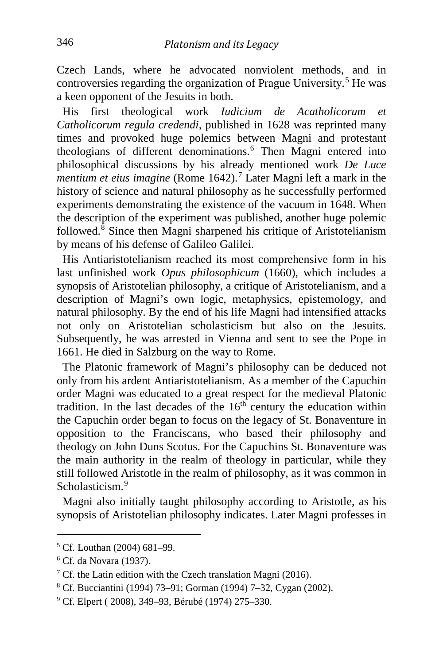Czech Lands, where he advocated nonviolent methods, and in controversies regarding the organization of Prague University.<sup>[5](#page-2-0)</sup> He was a keen opponent of the Jesuits in both.

 His first theological work *Iudicium de Acatholicorum et Catholicorum regula credendi*, published in 1628 was reprinted many times and provoked huge polemics between Magni and protestant theologians of different denominations.<sup>[6](#page-2-1)</sup> Then Magni entered into philosophical discussions by his already mentioned work *De Luce mentium et eius imagine* (Rome 1642).<sup>[7](#page-2-2)</sup> Later Magni left a mark in the history of science and natural philosophy as he successfully performed experiments demonstrating the existence of the vacuum in 1648. When the description of the experiment was published, another huge polemic followed.[8](#page-2-3) Since then Magni sharpened his critique of Aristotelianism by means of his defense of Galileo Galilei.

 His Antiaristotelianism reached its most comprehensive form in his last unfinished work *Opus philosophicum* (1660), which includes a synopsis of Aristotelian philosophy, a critique of Aristotelianism, and a description of Magni's own logic, metaphysics, epistemology, and natural philosophy. By the end of his life Magni had intensified attacks not only on Aristotelian scholasticism but also on the Jesuits. Subsequently, he was arrested in Vienna and sent to see the Pope in 1661. He died in Salzburg on the way to Rome.

 The Platonic framework of Magni's philosophy can be deduced not only from his ardent Antiaristotelianism. As a member of the Capuchin order Magni was educated to a great respect for the medieval Platonic tradition. In the last decades of the  $16<sup>th</sup>$  century the education within the Capuchin order began to focus on the legacy of St. Bonaventure in opposition to the Franciscans, who based their philosophy and theology on John Duns Scotus. For the Capuchins St. Bonaventure was the main authority in the realm of theology in particular, while they still followed Aristotle in the realm of philosophy, as it was common in Scholasticism<sup>[9](#page-2-4)</sup>

 Magni also initially taught philosophy according to Aristotle, as his synopsis of Aristotelian philosophy indicates. Later Magni professes in

<span id="page-2-0"></span><sup>5</sup> Cf. Louthan (2004) 681–99.

<span id="page-2-1"></span><sup>6</sup> Cf. da Novara (1937).

<span id="page-2-2"></span><sup>&</sup>lt;sup>7</sup> Cf. the Latin edition with the Czech translation Magni (2016).

<span id="page-2-3"></span><sup>8</sup> Cf. Bucciantini (1994) 73–91; Gorman (1994) 7–32, Cygan (2002).

<span id="page-2-4"></span><sup>9</sup> Cf. Elpert ( 2008), 349–93, Bérubé (1974) 275–330.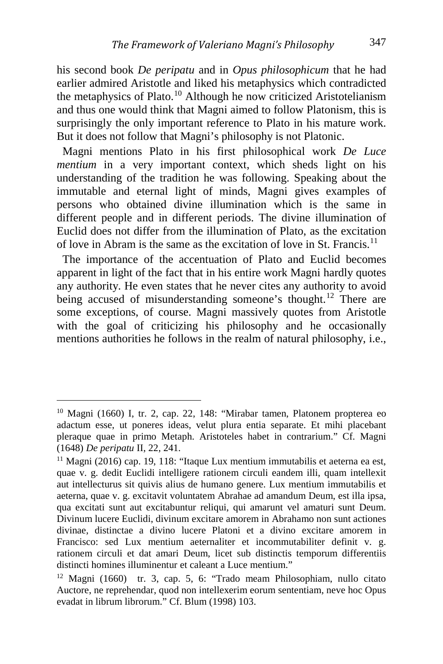his second book *De peripatu* and in *Opus philosophicum* that he had earlier admired Aristotle and liked his metaphysics which contradicted the metaphysics of Plato.[10](#page-3-0) Although he now criticized Aristotelianism and thus one would think that Magni aimed to follow Platonism, this is surprisingly the only important reference to Plato in his mature work. But it does not follow that Magni's philosophy is not Platonic.

 Magni mentions Plato in his first philosophical work *De Luce mentium* in a very important context, which sheds light on his understanding of the tradition he was following. Speaking about the immutable and eternal light of minds, Magni gives examples of persons who obtained divine illumination which is the same in different people and in different periods. The divine illumination of Euclid does not differ from the illumination of Plato, as the excitation of love in Abram is the same as the excitation of love in St. Francis.<sup>[11](#page-3-1)</sup>

 The importance of the accentuation of Plato and Euclid becomes apparent in light of the fact that in his entire work Magni hardly quotes any authority. He even states that he never cites any authority to avoid being accused of misunderstanding someone's thought.<sup>[12](#page-3-2)</sup> There are some exceptions, of course. Magni massively quotes from Aristotle with the goal of criticizing his philosophy and he occasionally mentions authorities he follows in the realm of natural philosophy, i.e.,

<span id="page-3-0"></span><sup>10</sup> Magni (1660) I, tr. 2, cap. 22, 148: "Mirabar tamen, Platonem propterea eo adactum esse, ut poneres ideas, velut plura entia separate. Et mihi placebant pleraque quae in primo Metaph. Aristoteles habet in contrarium." Cf. Magni (1648) *De peripatu* II, 22, 241.

<span id="page-3-1"></span> $11$  Magni (2016) cap. 19, 118: "Itaque Lux mentium immutabilis et aeterna ea est, quae v. g. dedit Euclidi intelligere rationem circuli eandem illi, quam intellexit aut intellecturus sit quivis alius de humano genere. Lux mentium immutabilis et aeterna, quae v. g. excitavit voluntatem Abrahae ad amandum Deum, est illa ipsa, qua excitati sunt aut excitabuntur reliqui, qui amarunt vel amaturi sunt Deum. Divinum lucere Euclidi, divinum excitare amorem in Abrahamo non sunt actiones divinae, distinctae a divino lucere Platoni et a divino excitare amorem in Francisco: sed Lux mentium aeternaliter et incommutabiliter definit v. g. rationem circuli et dat amari Deum, licet sub distinctis temporum differentiis distincti homines illuminentur et caleant a Luce mentium."

<span id="page-3-2"></span><sup>12</sup> Magni (1660) tr. 3, cap. 5, 6: "Trado meam Philosophiam, nullo citato Auctore, ne reprehendar, quod non intellexerim eorum sententiam, neve hoc Opus evadat in librum librorum." Cf. Blum (1998) 103.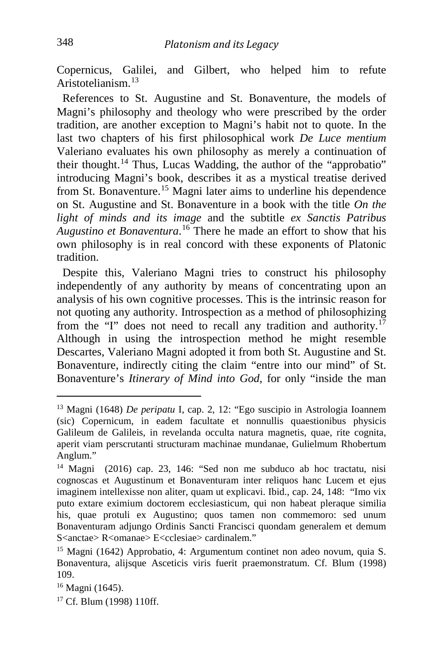Copernicus, Galilei, and Gilbert, who helped him to refute Aristotelianism.[13](#page-4-0)

 References to St. Augustine and St. Bonaventure, the models of Magni's philosophy and theology who were prescribed by the order tradition, are another exception to Magni's habit not to quote. In the last two chapters of his first philosophical work *De Luce mentium*  Valeriano evaluates his own philosophy as merely a continuation of their thought.[14](#page-4-1) Thus, Lucas Wadding, the author of the "approbatio" introducing Magni's book, describes it as a mystical treatise derived from St. Bonaventure.[15](#page-4-2) Magni later aims to underline his dependence on St. Augustine and St. Bonaventure in a book with the title *On the light of minds and its image* and the subtitle *ex Sanctis Patribus Augustino et Bonaventura*. [16](#page-4-3) There he made an effort to show that his own philosophy is in real concord with these exponents of Platonic tradition.

 Despite this, Valeriano Magni tries to construct his philosophy independently of any authority by means of concentrating upon an analysis of his own cognitive processes. This is the intrinsic reason for not quoting any authority. Introspection as a method of philosophizing from the "I" does not need to recall any tradition and authority.<sup>[17](#page-4-4)</sup> Although in using the introspection method he might resemble Descartes, Valeriano Magni adopted it from both St. Augustine and St. Bonaventure, indirectly citing the claim "entre into our mind" of St. Bonaventure's *Itinerary of Mind into God*, for only "inside the man

<span id="page-4-0"></span><sup>13</sup> Magni (1648) *De peripatu* I, cap. 2, 12: "Ego suscipio in Astrologia Ioannem (sic) Copernicum, in eadem facultate et nonnullis quaestionibus physicis Galileum de Galileis, in revelanda occulta natura magnetis, quae, rite cognita, aperit viam perscrutanti structuram machinae mundanae, Gulielmum Rhobertum Anglum."

<span id="page-4-1"></span><sup>14</sup> Magni (2016) cap. 23, 146: "Sed non me subduco ab hoc tractatu, nisi cognoscas et Augustinum et Bonaventuram inter reliquos hanc Lucem et ejus imaginem intellexisse non aliter, quam ut explicavi. Ibid., cap. 24, 148: "Imo vix puto extare eximium doctorem ecclesiasticum, qui non habeat pleraque similia his, quae protuli ex Augustino; quos tamen non commemoro: sed unum Bonaventuram adjungo Ordinis Sancti Francisci quondam generalem et demum S<anctae> R<omanae> E<cclesiae> cardinalem."

<span id="page-4-2"></span><sup>15</sup> Magni (1642) Approbatio, 4: Argumentum continet non adeo novum, quia S. Bonaventura, alijsque Asceticis viris fuerit praemonstratum. Cf. Blum (1998) 109.

<span id="page-4-3"></span><sup>&</sup>lt;sup>16</sup> Magni (1645).

<span id="page-4-4"></span><sup>&</sup>lt;sup>17</sup> Cf. Blum (1998) 110ff.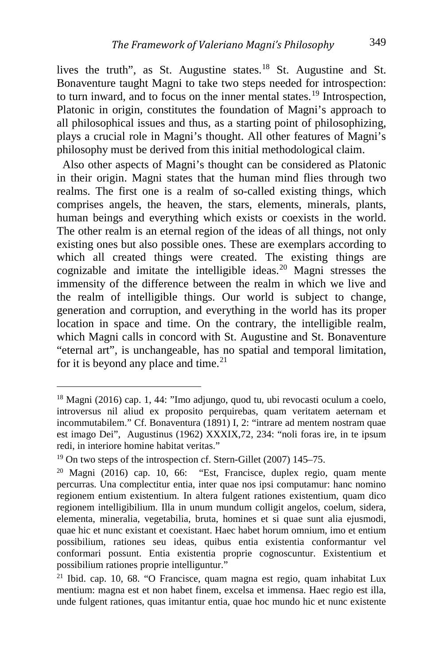lives the truth", as St. Augustine states.<sup>[18](#page-5-0)</sup> St. Augustine and St. Bonaventure taught Magni to take two steps needed for introspection: to turn inward, and to focus on the inner mental states.<sup>[19](#page-5-1)</sup> Introspection, Platonic in origin, constitutes the foundation of Magni's approach to all philosophical issues and thus, as a starting point of philosophizing, plays a crucial role in Magni's thought. All other features of Magni's philosophy must be derived from this initial methodological claim.

 Also other aspects of Magni's thought can be considered as Platonic in their origin. Magni states that the human mind flies through two realms. The first one is a realm of so-called existing things, which comprises angels, the heaven, the stars, elements, minerals, plants, human beings and everything which exists or coexists in the world. The other realm is an eternal region of the ideas of all things, not only existing ones but also possible ones. These are exemplars according to which all created things were created. The existing things are cognizable and imitate the intelligible ideas.[20](#page-5-2) Magni stresses the immensity of the difference between the realm in which we live and the realm of intelligible things. Our world is subject to change, generation and corruption, and everything in the world has its proper location in space and time. On the contrary, the intelligible realm, which Magni calls in concord with St. Augustine and St. Bonaventure "eternal art", is unchangeable, has no spatial and temporal limitation, for it is beyond any place and time.<sup>[21](#page-5-3)</sup>

<span id="page-5-0"></span><sup>18</sup> Magni (2016) cap. 1, 44: "Imo adjungo, quod tu, ubi revocasti oculum a coelo, introversus nil aliud ex proposito perquirebas, quam veritatem aeternam et incommutabilem." Cf. Bonaventura (1891) I, 2: "intrare ad mentem nostram quae est imago Dei", Augustinus (1962) XXXIX,72, 234: "noli foras ire, in te ipsum redi, in interiore homine habitat veritas."

<span id="page-5-1"></span><sup>&</sup>lt;sup>19</sup> On two steps of the introspection cf. Stern-Gillet (2007) 145–75.

<span id="page-5-2"></span> $20$  Magni (2016) cap. 10, 66: "Est, Francisce, duplex regio, quam mente percurras. Una complectitur entia, inter quae nos ipsi computamur: hanc nomino regionem entium existentium. In altera fulgent rationes existentium, quam dico regionem intelligibilium. Illa in unum mundum colligit angelos, coelum, sidera, elementa, mineralia, vegetabilia, bruta, homines et si quae sunt alia ejusmodi, quae hic et nunc existant et coexistant. Haec habet horum omnium, imo et entium possibilium, rationes seu ideas, quibus entia existentia conformantur vel conformari possunt. Entia existentia proprie cognoscuntur. Existentium et possibilium rationes proprie intelliguntur."

<span id="page-5-3"></span><sup>21</sup> Ibid. cap. 10, 68. "O Francisce, quam magna est regio, quam inhabitat Lux mentium: magna est et non habet finem, excelsa et immensa. Haec regio est illa, unde fulgent rationes, quas imitantur entia, quae hoc mundo hic et nunc existente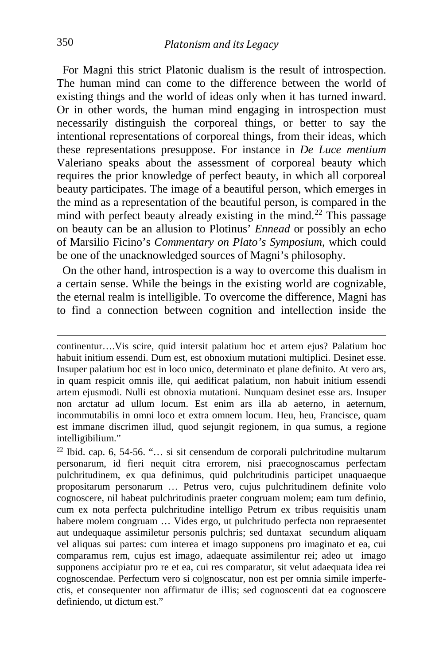For Magni this strict Platonic dualism is the result of introspection. The human mind can come to the difference between the world of existing things and the world of ideas only when it has turned inward. Or in other words, the human mind engaging in introspection must necessarily distinguish the corporeal things, or better to say the intentional representations of corporeal things, from their ideas, which these representations presuppose. For instance in *De Luce mentium*  Valeriano speaks about the assessment of corporeal beauty which requires the prior knowledge of perfect beauty, in which all corporeal beauty participates. The image of a beautiful person, which emerges in the mind as a representation of the beautiful person, is compared in the mind with perfect beauty already existing in the mind.<sup>[22](#page-6-0)</sup> This passage on beauty can be an allusion to Plotinus' *Ennead* or possibly an echo of Marsilio Ficino's *Commentary on Plato's Symposium*, which could be one of the unacknowledged sources of Magni's philosophy.

 On the other hand, introspection is a way to overcome this dualism in a certain sense. While the beings in the existing world are cognizable, the eternal realm is intelligible. To overcome the difference, Magni has to find a connection between cognition and intellection inside the

continentur….Vis scire, quid intersit palatium hoc et artem ejus? Palatium hoc habuit initium essendi. Dum est, est obnoxium mutationi multiplici. Desinet esse. Insuper palatium hoc est in loco unico, determinato et plane definito. At vero ars, in quam respicit omnis ille, qui aedificat palatium, non habuit initium essendi artem ejusmodi. Nulli est obnoxia mutationi. Nunquam desinet esse ars. Insuper non arctatur ad ullum locum. Est enim ars illa ab aeterno, in aeternum, incommutabilis in omni loco et extra omnem locum. Heu, heu, Francisce, quam est immane discrimen illud, quod sejungit regionem, in qua sumus, a regione intelligibilium."

<span id="page-6-0"></span><sup>22</sup> Ibid. cap. 6, 54-56. "… si sit censendum de corporali pulchritudine multarum personarum, id fieri nequit citra errorem, nisi praecognoscamus perfectam pulchritudinem, ex qua definimus, quid pulchritudinis participet unaquaeque propositarum personarum … Petrus vero, cujus pulchritudinem definite volo cognoscere, nil habeat pulchritudinis praeter congruam molem; eam tum definio, cum ex nota perfecta pulchritudine intelligo Petrum ex tribus requisitis unam habere molem congruam ... Vides ergo, ut pulchritudo perfecta non repraesentet aut undequaque assimiletur personis pulchris; sed duntaxat secundum aliquam vel aliquas sui partes: cum interea et imago supponens pro imaginato et ea, cui comparamus rem, cujus est imago, adaequate assimilentur rei; adeo ut imago supponens accipiatur pro re et ea, cui res comparatur, sit velut adaequata idea rei cognoscendae. Perfectum vero si co|gnoscatur, non est per omnia simile imperfectis, et consequenter non affirmatur de illis; sed cognoscenti dat ea cognoscere definiendo, ut dictum est."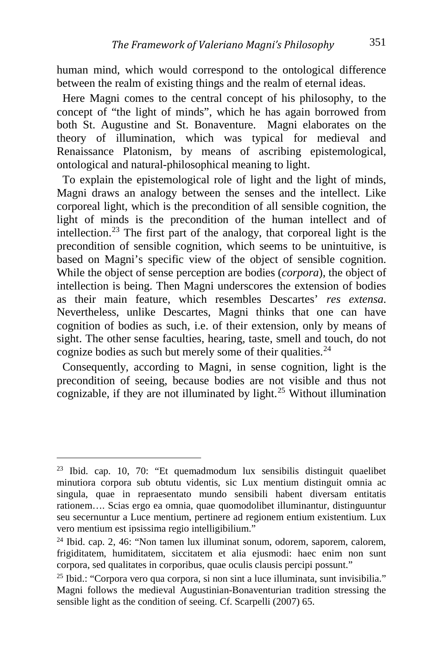human mind, which would correspond to the ontological difference between the realm of existing things and the realm of eternal ideas.

 Here Magni comes to the central concept of his philosophy, to the concept of "the light of minds", which he has again borrowed from both St. Augustine and St. Bonaventure. Magni elaborates on the theory of illumination, which was typical for medieval and Renaissance Platonism, by means of ascribing epistemological, ontological and natural-philosophical meaning to light.

 To explain the epistemological role of light and the light of minds, Magni draws an analogy between the senses and the intellect. Like corporeal light, which is the precondition of all sensible cognition, the light of minds is the precondition of the human intellect and of intellection.[23](#page-7-0) The first part of the analogy, that corporeal light is the precondition of sensible cognition, which seems to be unintuitive, is based on Magni's specific view of the object of sensible cognition. While the object of sense perception are bodies (*corpora*), the object of intellection is being. Then Magni underscores the extension of bodies as their main feature, which resembles Descartes' *res extensa*. Nevertheless, unlike Descartes, Magni thinks that one can have cognition of bodies as such, i.e. of their extension, only by means of sight. The other sense faculties, hearing, taste, smell and touch, do not cognize bodies as such but merely some of their qualities.<sup>[24](#page-7-1)</sup>

 Consequently, according to Magni, in sense cognition, light is the precondition of seeing, because bodies are not visible and thus not cognizable, if they are not illuminated by light.<sup>[25](#page-7-2)</sup> Without illumination

<span id="page-7-0"></span><sup>23</sup> Ibid. cap. 10, 70: "Et quemadmodum lux sensibilis distinguit quaelibet minutiora corpora sub obtutu videntis, sic Lux mentium distinguit omnia ac singula, quae in repraesentato mundo sensibili habent diversam entitatis rationem…. Scias ergo ea omnia, quae quomodolibet illuminantur, distinguuntur seu secernuntur a Luce mentium, pertinere ad regionem entium existentium. Lux vero mentium est ipsissima regio intelligibilium."

<span id="page-7-1"></span><sup>24</sup> Ibid. cap. 2, 46: "Non tamen lux illuminat sonum, odorem, saporem, calorem, frigiditatem, humiditatem, siccitatem et alia ejusmodi: haec enim non sunt corpora, sed qualitates in corporibus, quae oculis clausis percipi possunt."

<span id="page-7-2"></span> $25$  Ibid.: "Corpora vero qua corpora, si non sint a luce illuminata, sunt invisibilia." Magni follows the medieval Augustinian-Bonaventurian tradition stressing the sensible light as the condition of seeing. Cf. Scarpelli (2007) 65.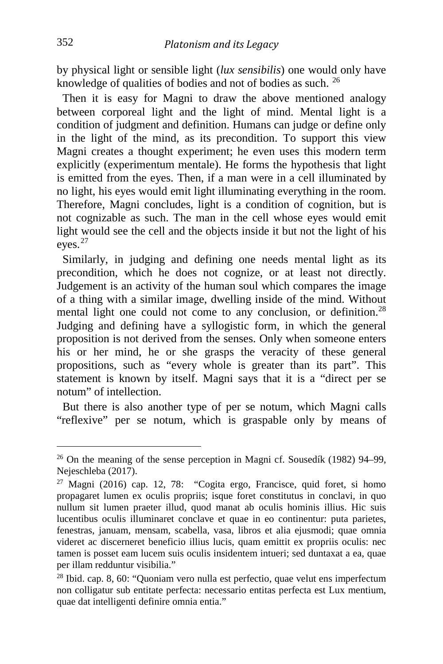by physical light or sensible light (*lux sensibilis*) one would only have knowledge of qualities of bodies and not of bodies as such. [26](#page-8-0)

 Then it is easy for Magni to draw the above mentioned analogy between corporeal light and the light of mind. Mental light is a condition of judgment and definition. Humans can judge or define only in the light of the mind, as its precondition. To support this view Magni creates a thought experiment; he even uses this modern term explicitly (experimentum mentale). He forms the hypothesis that light is emitted from the eyes. Then, if a man were in a cell illuminated by no light, his eyes would emit light illuminating everything in the room. Therefore, Magni concludes, light is a condition of cognition, but is not cognizable as such. The man in the cell whose eyes would emit light would see the cell and the objects inside it but not the light of his eyes.[27](#page-8-1)

 Similarly, in judging and defining one needs mental light as its precondition, which he does not cognize, or at least not directly. Judgement is an activity of the human soul which compares the image of a thing with a similar image, dwelling inside of the mind. Without mental light one could not come to any conclusion, or definition.<sup>[28](#page-8-2)</sup> Judging and defining have a syllogistic form, in which the general proposition is not derived from the senses. Only when someone enters his or her mind, he or she grasps the veracity of these general propositions, such as "every whole is greater than its part". This statement is known by itself. Magni says that it is a "direct per se notum" of intellection.

 But there is also another type of per se notum, which Magni calls "reflexive" per se notum, which is graspable only by means of

<span id="page-8-0"></span> $26$  On the meaning of the sense perception in Magni cf. Sousedík (1982) 94–99, Nejeschleba (2017).

<span id="page-8-1"></span> $27$  Magni (2016) cap. 12, 78: "Cogita ergo, Francisce, quid foret, si homo propagaret lumen ex oculis propriis; isque foret constitutus in conclavi, in quo nullum sit lumen praeter illud, quod manat ab oculis hominis illius. Hic suis lucentibus oculis illuminaret conclave et quae in eo continentur: puta parietes, fenestras, januam, mensam, scabella, vasa, libros et alia ejusmodi; quae omnia videret ac discerneret beneficio illius lucis, quam emittit ex propriis oculis: nec tamen is posset eam lucem suis oculis insidentem intueri; sed duntaxat a ea, quae per illam redduntur visibilia."

<span id="page-8-2"></span> $28$  Ibid. cap. 8, 60: "Quoniam vero nulla est perfectio, quae velut ens imperfectum non colligatur sub entitate perfecta: necessario entitas perfecta est Lux mentium, quae dat intelligenti definire omnia entia."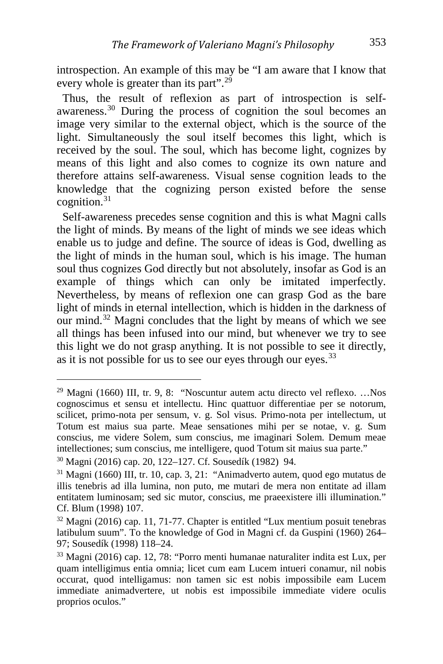introspection. An example of this may be "I am aware that I know that every whole is greater than its part".<sup>[29](#page-9-0)</sup>

 Thus, the result of reflexion as part of introspection is selfawareness.[30](#page-9-1) During the process of cognition the soul becomes an image very similar to the external object, which is the source of the light. Simultaneously the soul itself becomes this light, which is received by the soul. The soul, which has become light, cognizes by means of this light and also comes to cognize its own nature and therefore attains self-awareness. Visual sense cognition leads to the knowledge that the cognizing person existed before the sense cognition.[31](#page-9-2)

 Self-awareness precedes sense cognition and this is what Magni calls the light of minds. By means of the light of minds we see ideas which enable us to judge and define. The source of ideas is God, dwelling as the light of minds in the human soul, which is his image. The human soul thus cognizes God directly but not absolutely, insofar as God is an example of things which can only be imitated imperfectly. Nevertheless, by means of reflexion one can grasp God as the bare light of minds in eternal intellection, which is hidden in the darkness of our mind.[32](#page-9-3) Magni concludes that the light by means of which we see all things has been infused into our mind, but whenever we try to see this light we do not grasp anything. It is not possible to see it directly, as it is not possible for us to see our eyes through our eyes.  $33$ 

<span id="page-9-0"></span><sup>29</sup> Magni (1660) III, tr. 9, 8: "Noscuntur autem actu directo vel reflexo. …Nos cognoscimus et sensu et intellectu. Hinc quattuor differentiae per se notorum, scilicet, primo-nota per sensum, v. g. Sol visus. Primo-nota per intellectum, ut Totum est maius sua parte. Meae sensationes mihi per se notae, v. g. Sum conscius, me videre Solem, sum conscius, me imaginari Solem. Demum meae intellectiones; sum conscius, me intelligere, quod Totum sit maius sua parte."

<span id="page-9-1"></span><sup>30</sup> Magni (2016) cap. 20, 122–127. Cf. Sousedík (1982) 94.

<span id="page-9-2"></span><sup>31</sup> Magni (1660) III, tr. 10, cap. 3, 21: "Animadverto autem, quod ego mutatus de illis tenebris ad illa lumina, non puto, me mutari de mera non entitate ad illam entitatem luminosam; sed sic mutor, conscius, me praeexistere illi illumination." Cf. Blum (1998) 107.

<span id="page-9-3"></span> $32$  Magni (2016) cap. 11, 71-77. Chapter is entitled "Lux mentium posuit tenebras latibulum suum". To the knowledge of God in Magni cf. da Guspini (1960) 264– 97; Sousedík (1998) 118–24.

<span id="page-9-4"></span><sup>33</sup> Magni (2016) cap. 12, 78: "Porro menti humanae naturaliter indita est Lux, per quam intelligimus entia omnia; licet cum eam Lucem intueri conamur, nil nobis occurat, quod intelligamus: non tamen sic est nobis impossibile eam Lucem immediate animadvertere, ut nobis est impossibile immediate videre oculis proprios oculos."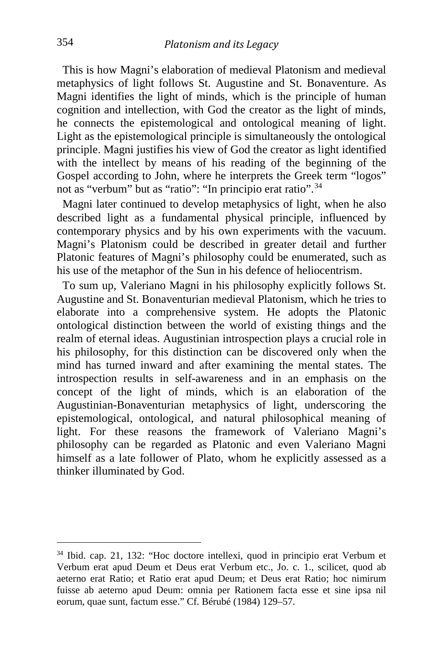This is how Magni's elaboration of medieval Platonism and medieval metaphysics of light follows St. Augustine and St. Bonaventure. As Magni identifies the light of minds, which is the principle of human cognition and intellection, with God the creator as the light of minds, he connects the epistemological and ontological meaning of light. Light as the epistemological principle is simultaneously the ontological principle. Magni justifies his view of God the creator as light identified with the intellect by means of his reading of the beginning of the Gospel according to John, where he interprets the Greek term "logos" not as "verbum" but as "ratio": "In principio erat ratio".<sup>34</sup>

 Magni later continued to develop metaphysics of light, when he also described light as a fundamental physical principle, influenced by contemporary physics and by his own experiments with the vacuum. Magni's Platonism could be described in greater detail and further Platonic features of Magni's philosophy could be enumerated, such as his use of the metaphor of the Sun in his defence of heliocentrism.

 To sum up, Valeriano Magni in his philosophy explicitly follows St. Augustine and St. Bonaventurian medieval Platonism, which he tries to elaborate into a comprehensive system. He adopts the Platonic ontological distinction between the world of existing things and the realm of eternal ideas. Augustinian introspection plays a crucial role in his philosophy, for this distinction can be discovered only when the mind has turned inward and after examining the mental states. The introspection results in self-awareness and in an emphasis on the concept of the light of minds, which is an elaboration of the Augustinian-Bonaventurian metaphysics of light, underscoring the epistemological, ontological, and natural philosophical meaning of light. For these reasons the framework of Valeriano Magni's philosophy can be regarded as Platonic and even Valeriano Magni himself as a late follower of Plato, whom he explicitly assessed as a thinker illuminated by God.

<span id="page-10-0"></span><sup>34</sup> Ibid. cap. 21, 132: "Hoc doctore intellexi, quod in principio erat Verbum et Verbum erat apud Deum et Deus erat Verbum etc., Jo. c. 1., scilicet, quod ab aeterno erat Ratio; et Ratio erat apud Deum; et Deus erat Ratio; hoc nimirum fuisse ab aeterno apud Deum: omnia per Rationem facta esse et sine ipsa nil eorum, quae sunt, factum esse." Cf. Bérubé (1984) 129–57.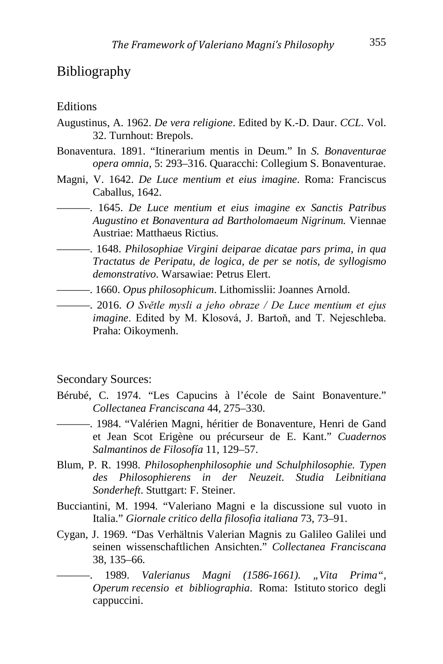#### Bibliography

#### **Editions**

- Augustinus, A. 1962. *De vera religione*. Edited by K.-D. Daur. *CCL*. Vol. 32. Turnhout: Brepols.
- Bonaventura. 1891. "Itinerarium mentis in Deum." In *S. Bonaventurae opera omnia*, 5: 293–316. Quaracchi: Collegium S. Bonaventurae.
- Magni, V. 1642. *De Luce mentium et eius imagine*. Roma: Franciscus Caballus, 1642.
- ———. 1645. *De Luce mentium et eius imagine ex Sanctis Patribus Augustino et Bonaventura ad Bartholomaeum Nigrinum.* Viennae Austriae: Matthaeus Rictius.
- ———. 1648. *Philosophiae Virgini deiparae dicatae pars prima, in qua Tractatus de Peripatu, de logica, de per se notis, de syllogismo demonstrativo*. Warsawiae: Petrus Elert.
- ———. 1660. *Opus philosophicum*. Lithomisslii: Joannes Arnold.
- ———. 2016. *O Světle mysli a jeho obraze / De Luce mentium et ejus imagine*. Edited by M. Klosová, J. Bartoň, and T. Nejeschleba. Praha: Oikoymenh.

Secondary Sources:

- Bérubé, C. 1974. "Les Capucins à l'école de Saint Bonaventure." *Collectanea Franciscana* 44, 275–330.
- ———. 1984. "Valérien Magni, héritier de Bonaventure, Henri de Gand et Jean Scot Erigène ou précurseur de E. Kant." *Cuadernos Salmantinos de Filosofía* 11, 129–57.
- Blum, P. R. 1998. *Philosophenphilosophie und Schulphilosophie. Typen des Philosophierens in der Neuzeit*. *Studia Leibnitiana Sonderheft*. Stuttgart: F. Steiner.
- Bucciantini, M. 1994. "Valeriano Magni e la discussione sul vuoto in Italia." *Giornale critico della filosofia italiana* 73, 73–91.
- Cygan, J. 1969. "Das Verhältnis Valerian Magnis zu Galileo Galilei und seinen wissenschaftlichen Ansichten." *Collectanea Franciscana* 38, 135–66.

———. 1989. *Valerianus Magni (1586-1661). "Vita Prima", Operum recensio et bibliographia*. Roma: Istituto storico degli cappuccini.